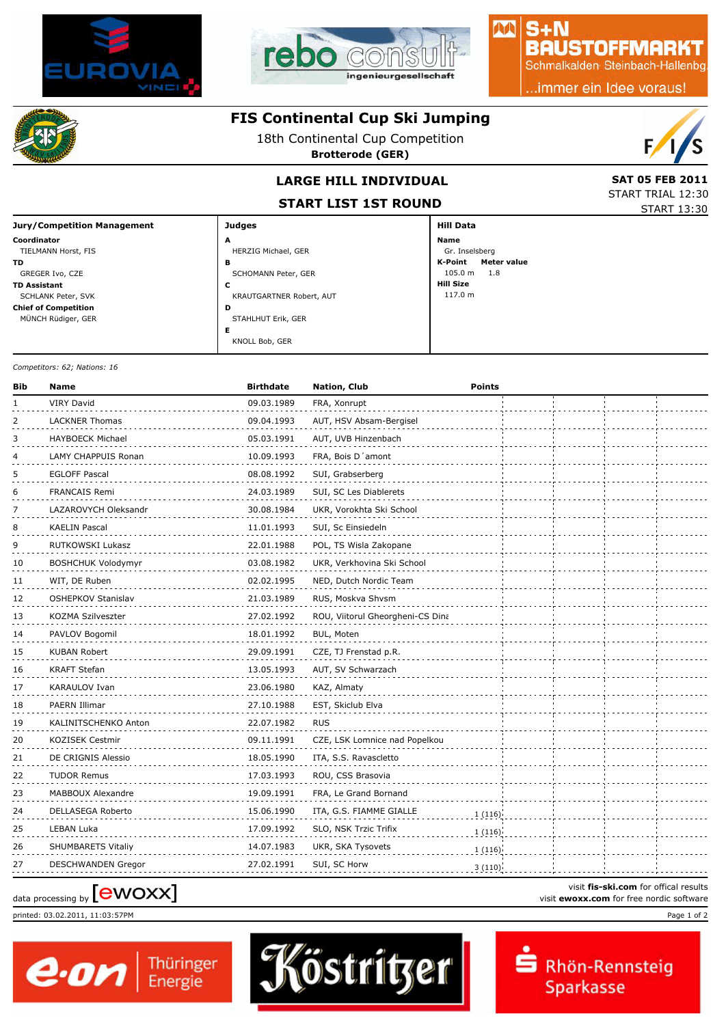



### $S + N$ **BAUSTOFFMARKT**

AA

Schmalkalden Steinbach-Hallenbg

..immer ein Idee voraus!



### **FIS Continental Cup Ski Jumping**

18th Continental Cup Competition

**Brotterode (GER)**



START TRIAL 12:30 START 13:30

## **LARGE HILL INDIVIDUAL** SAT 05 FEB 2011

**START LIST 1ST ROUND**

| <b>Jury/Competition Management</b> | <b>Judges</b>            | <b>Hill Data</b>       |  |
|------------------------------------|--------------------------|------------------------|--|
| Coordinator                        | A                        | Name                   |  |
| TIELMANN Horst, FIS                | HERZIG Michael, GER      | Gr. Inselsberg         |  |
| TD                                 | в                        | K-Point<br>Meter value |  |
| GREGER Ivo, CZE                    | SCHOMANN Peter, GER      | 105.0 m<br>1.8         |  |
| <b>TD Assistant</b>                | J                        | <b>Hill Size</b>       |  |
| SCHLANK Peter, SVK                 | KRAUTGARTNER Robert, AUT | 117.0 m                |  |
| <b>Chief of Competition</b>        | D                        |                        |  |
| MÜNCH Rüdiger, GER                 | STAHLHUT Erik, GER       |                        |  |
|                                    |                          |                        |  |
|                                    | KNOLL Bob, GER           |                        |  |

*Competitors: 62; Nations: 16*

| Bib | <b>Name</b>               | <b>Birthdate</b> | Nation, Club                     | <b>Points</b> |  |  |
|-----|---------------------------|------------------|----------------------------------|---------------|--|--|
| 1   | <b>VIRY David</b>         | 09.03.1989       | FRA, Xonrupt                     |               |  |  |
| 2   | <b>LACKNER Thomas</b>     | 09.04.1993       | AUT, HSV Absam-Bergisel          |               |  |  |
| 3   | <b>HAYBOECK Michael</b>   | 05.03.1991       | AUT, UVB Hinzenbach              |               |  |  |
| 4   | LAMY CHAPPUIS Ronan       | 10.09.1993       | FRA, Bois D'amont                |               |  |  |
| 5   | <b>EGLOFF Pascal</b>      | 08.08.1992       | SUI, Grabserberg                 |               |  |  |
| 6   | <b>FRANCAIS Remi</b>      | 24.03.1989       | SUI, SC Les Diablerets           |               |  |  |
| 7   | LAZAROVYCH Oleksandr      | 30.08.1984       | UKR, Vorokhta Ski School         |               |  |  |
| 8   | <b>KAELIN Pascal</b>      | 11.01.1993       | SUI, Sc Einsiedeln               |               |  |  |
| 9   | RUTKOWSKI Lukasz          | 22.01.1988       | POL, TS Wisla Zakopane           |               |  |  |
| 10  | <b>BOSHCHUK Volodymyr</b> | 03.08.1982       | UKR, Verkhovina Ski School       |               |  |  |
| 11  | WIT, DE Ruben             | 02.02.1995       | NED, Dutch Nordic Team           |               |  |  |
| 12  | <b>OSHEPKOV Stanislav</b> | 21.03.1989       | RUS, Moskva Shvsm                |               |  |  |
| 13  | KOZMA Szilveszter         | 27.02.1992       | ROU, Viitorul Gheorgheni-CS Dina |               |  |  |
| 14  | PAVLOV Bogomil            | 18.01.1992       | BUL, Moten                       |               |  |  |
| 15  | KUBAN Robert              | 29.09.1991       | CZE, TJ Frenstad p.R.            |               |  |  |
| 16  | <b>KRAFT Stefan</b>       | 13.05.1993       | AUT, SV Schwarzach               |               |  |  |
| 17  | <b>KARAULOV Ivan</b>      | 23.06.1980       | KAZ, Almaty                      |               |  |  |
| 18  | PAERN Illimar             | 27.10.1988       | EST, Skiclub Elva                |               |  |  |
| 19  | KALINITSCHENKO Anton      | 22.07.1982       | <b>RUS</b>                       |               |  |  |
| 20  | <b>KOZISEK Cestmir</b>    | 09.11.1991       | CZE, LSK Lomnice nad Popelkou    |               |  |  |
| 21  | DE CRIGNIS Alessio        | 18.05.1990       | ITA, S.S. Ravascletto            |               |  |  |
| 22  | <b>TUDOR Remus</b>        | 17.03.1993       | ROU, CSS Brasovia                |               |  |  |
| 23  | MABBOUX Alexandre         | 19.09.1991       | FRA, Le Grand Bornand            |               |  |  |
| 24  | DELLASEGA Roberto         | 15.06.1990       | ITA, G.S. FIAMME GIALLE          | 1(116)        |  |  |
| 25  | LEBAN Luka                | 17.09.1992       | SLO, NSK Trzic Trifix            | 1(116)        |  |  |
| 26  | SHUMBARETS Vitaliy        | 14.07.1983       | UKR, SKA Tysovets                | 1(116)        |  |  |
| 27  | <b>DESCHWANDEN Gregor</b> | 27.02.1991       | SUI, SC Horw                     | 3(110)        |  |  |

# visit **fis-ski.com** for offical results<br>visit **ewoxx.com** for free nordic software<br>visit **ewoxx.com** for free nordic software

printed: 03.02.2011, 11:03:57PM Page 1 of 2





visit **fis-ski.com** for offical results